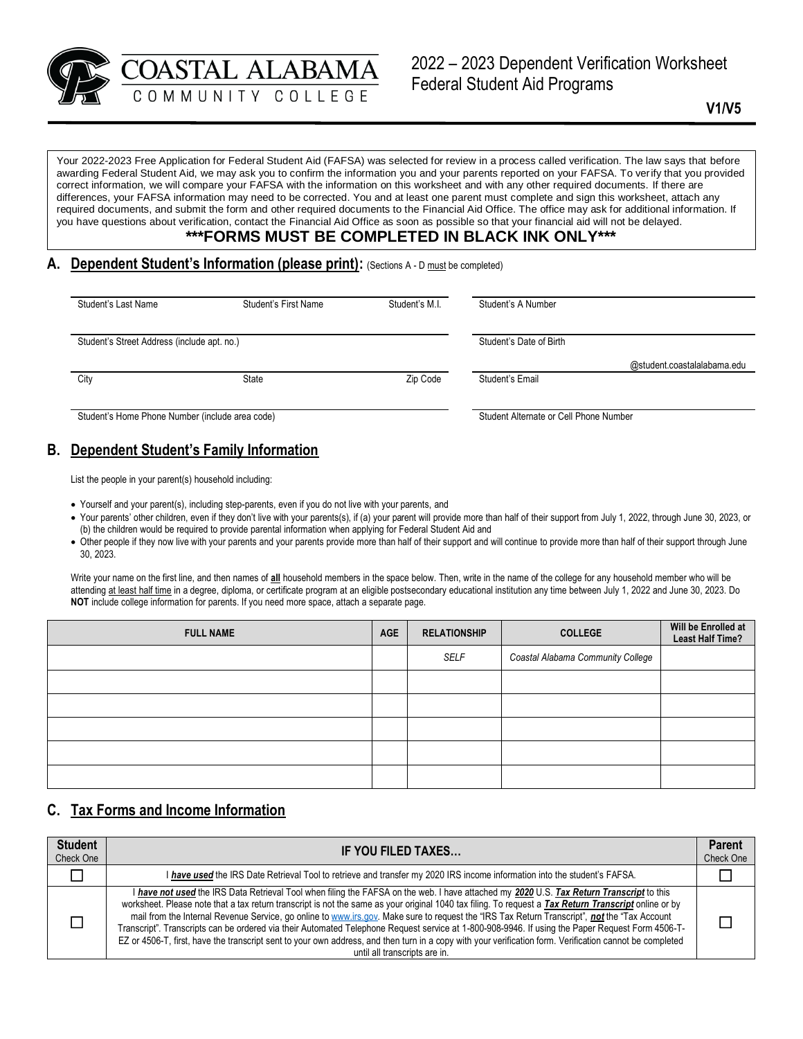COASTAL ALABAMA Federal Student Aid Programs

2022 – 2023 Dependent Verification Worksheet

Your 2022-2023 Free Application for Federal Student Aid (FAFSA) was selected for review in a process called verification. The law says that before awarding Federal Student Aid, we may ask you to confirm the information you and your parents reported on your FAFSA. To verify that you provided correct information, we will compare your FAFSA with the information on this worksheet and with any other required documents. If there are differences, your FAFSA information may need to be corrected. You and at least one parent must complete and sign this worksheet, attach any required documents, and submit the form and other required documents to the Financial Aid Office. The office may ask for additional information. If you have questions about verification, contact the Financial Aid Office as soon as possible so that your financial aid will not be delayed.

## **\*\*\*FORMS MUST BE COMPLETED IN BLACK INK ONLY\*\*\***

#### A. **Dependent Student's Information (please print)**: (Sections A - D must be completed)

| Student's Last Name                             | <b>Student's First Name</b> | Student's M.I. | Student's A Number                     |  |
|-------------------------------------------------|-----------------------------|----------------|----------------------------------------|--|
| Student's Street Address (include apt. no.)     |                             |                | Student's Date of Birth                |  |
|                                                 |                             |                | @student.coastalalabama.edu            |  |
| City                                            | State                       | Zip Code       | Student's Email                        |  |
| Student's Home Phone Number (include area code) |                             |                | Student Alternate or Cell Phone Number |  |

# **B. Dependent Student's Family Information**

List the people in your parent(s) household including:

- Yourself and your parent(s), including step-parents, even if you do not live with your parents, and
- Your parents' other children, even if they don't live with your parents(s), if (a) your parent will provide more than half of their support from July 1, 2022, through June 30, 2023, or (b) the children would be required to provide parental information when applying for Federal Student Aid and
- Other people if they now live with your parents and your parents provide more than half of their support and will continue to provide more than half of their support through June 30, 2023.

Write your name on the first line, and then names of **all** household members in the space below. Then, write in the name of the college for any household member who will be attending at least half time in a degree, diploma, or certificate program at an eligible postsecondary educational institution any time between July 1, 2022 and June 30, 2023. Do **NOT** include college information for parents. If you need more space, attach a separate page.

| <b>FULL NAME</b> | <b>AGE</b> | <b>RELATIONSHIP</b> | <b>COLLEGE</b>                    | Will be Enrolled at<br>Least Half Time? |
|------------------|------------|---------------------|-----------------------------------|-----------------------------------------|
|                  |            | SELF                | Coastal Alabama Community College |                                         |
|                  |            |                     |                                   |                                         |
|                  |            |                     |                                   |                                         |
|                  |            |                     |                                   |                                         |
|                  |            |                     |                                   |                                         |
|                  |            |                     |                                   |                                         |

## **C. Tax Forms and Income Information**

| <b>Student</b><br>Check One | IF YOU FILED TAXES                                                                                                                                                                                                                                                                                                                                                                                                                                                                                                                                                                                                                                                                                                                                                                                 |   |
|-----------------------------|----------------------------------------------------------------------------------------------------------------------------------------------------------------------------------------------------------------------------------------------------------------------------------------------------------------------------------------------------------------------------------------------------------------------------------------------------------------------------------------------------------------------------------------------------------------------------------------------------------------------------------------------------------------------------------------------------------------------------------------------------------------------------------------------------|---|
|                             | I have used the IRS Date Retrieval Tool to retrieve and transfer my 2020 IRS income information into the student's FAFSA.                                                                                                                                                                                                                                                                                                                                                                                                                                                                                                                                                                                                                                                                          |   |
|                             | I have not used the IRS Data Retrieval Tool when filing the FAFSA on the web. I have attached my 2020 U.S. Tax Return Transcript to this<br>worksheet. Please note that a tax return transcript is not the same as your original 1040 tax filing. To request a Tax Return Transcript online or by<br>mail from the Internal Revenue Service, go online to www.irs.gov. Make sure to request the "IRS Tax Return Transcript", not the "Tax Account<br>Transcript". Transcripts can be ordered via their Automated Telephone Request service at 1-800-908-9946. If using the Paper Request Form 4506-T-<br>EZ or 4506-T, first, have the transcript sent to your own address, and then turn in a copy with your verification form. Verification cannot be completed<br>until all transcripts are in. | П |